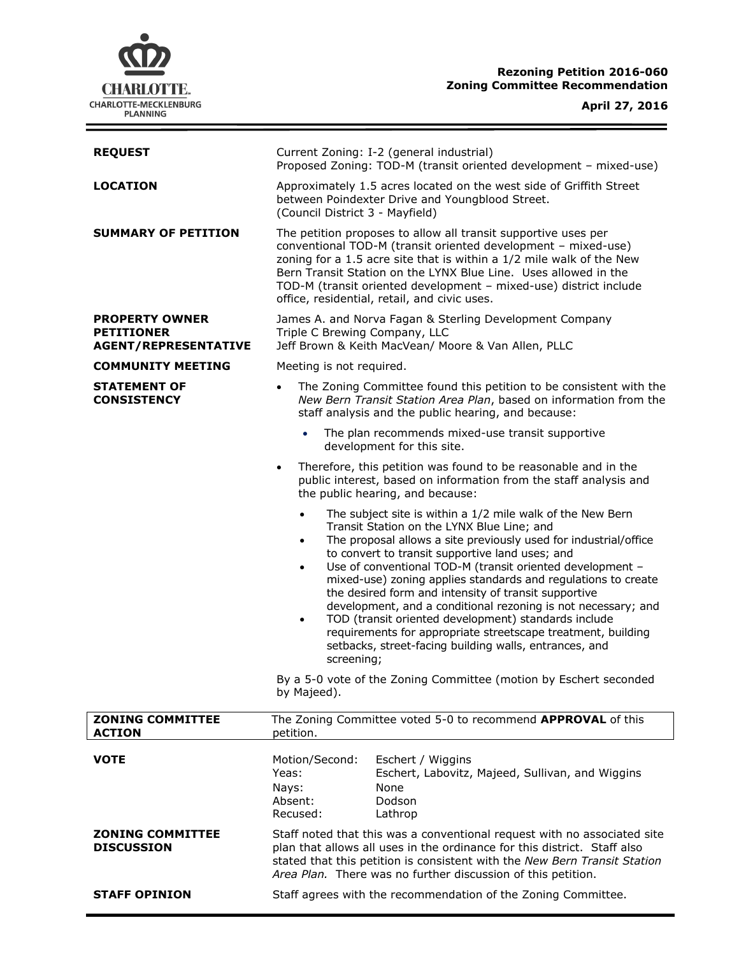

# **Rezoning Petition 2016-060 Zoning Committee Recommendation**

| <b>REQUEST</b>                                                            | Current Zoning: I-2 (general industrial)<br>Proposed Zoning: TOD-M (transit oriented development - mixed-use)                                                                                                                                                                                                                                                                                                                                                                                                                                                                                                                                                                                                                                                                                                                  |
|---------------------------------------------------------------------------|--------------------------------------------------------------------------------------------------------------------------------------------------------------------------------------------------------------------------------------------------------------------------------------------------------------------------------------------------------------------------------------------------------------------------------------------------------------------------------------------------------------------------------------------------------------------------------------------------------------------------------------------------------------------------------------------------------------------------------------------------------------------------------------------------------------------------------|
| LOCATION                                                                  | Approximately 1.5 acres located on the west side of Griffith Street<br>between Poindexter Drive and Youngblood Street.<br>(Council District 3 - Mayfield)                                                                                                                                                                                                                                                                                                                                                                                                                                                                                                                                                                                                                                                                      |
| <b>SUMMARY OF PETITION</b>                                                | The petition proposes to allow all transit supportive uses per<br>conventional TOD-M (transit oriented development - mixed-use)<br>zoning for a 1.5 acre site that is within a 1/2 mile walk of the New<br>Bern Transit Station on the LYNX Blue Line. Uses allowed in the<br>TOD-M (transit oriented development - mixed-use) district include<br>office, residential, retail, and civic uses.                                                                                                                                                                                                                                                                                                                                                                                                                                |
| <b>PROPERTY OWNER</b><br><b>PETITIONER</b><br><b>AGENT/REPRESENTATIVE</b> | James A. and Norva Fagan & Sterling Development Company<br>Triple C Brewing Company, LLC<br>Jeff Brown & Keith MacVean/ Moore & Van Allen, PLLC                                                                                                                                                                                                                                                                                                                                                                                                                                                                                                                                                                                                                                                                                |
| <b>COMMUNITY MEETING</b>                                                  | Meeting is not required.                                                                                                                                                                                                                                                                                                                                                                                                                                                                                                                                                                                                                                                                                                                                                                                                       |
| <b>STATEMENT OF</b><br><b>CONSISTENCY</b>                                 | The Zoning Committee found this petition to be consistent with the<br>$\bullet$<br>New Bern Transit Station Area Plan, based on information from the<br>staff analysis and the public hearing, and because:                                                                                                                                                                                                                                                                                                                                                                                                                                                                                                                                                                                                                    |
|                                                                           | The plan recommends mixed-use transit supportive<br>development for this site.                                                                                                                                                                                                                                                                                                                                                                                                                                                                                                                                                                                                                                                                                                                                                 |
|                                                                           | Therefore, this petition was found to be reasonable and in the<br>$\bullet$<br>public interest, based on information from the staff analysis and<br>the public hearing, and because:                                                                                                                                                                                                                                                                                                                                                                                                                                                                                                                                                                                                                                           |
|                                                                           | The subject site is within a 1/2 mile walk of the New Bern<br>$\bullet$<br>Transit Station on the LYNX Blue Line; and<br>The proposal allows a site previously used for industrial/office<br>$\bullet$<br>to convert to transit supportive land uses; and<br>Use of conventional TOD-M (transit oriented development -<br>$\bullet$<br>mixed-use) zoning applies standards and regulations to create<br>the desired form and intensity of transit supportive<br>development, and a conditional rezoning is not necessary; and<br>TOD (transit oriented development) standards include<br>$\bullet$<br>requirements for appropriate streetscape treatment, building<br>setbacks, street-facing building walls, entrances, and<br>screening;<br>By a 5-0 vote of the Zoning Committee (motion by Eschert seconded<br>by Majeed). |
| <b>ZONING COMMITTEE</b>                                                   | The Zoning Committee voted 5-0 to recommend APPROVAL of this                                                                                                                                                                                                                                                                                                                                                                                                                                                                                                                                                                                                                                                                                                                                                                   |
| <b>ACTION</b>                                                             | petition.                                                                                                                                                                                                                                                                                                                                                                                                                                                                                                                                                                                                                                                                                                                                                                                                                      |
| <b>VOTE</b>                                                               | Motion/Second:<br>Eschert / Wiggins<br>Yeas:<br>Eschert, Labovitz, Majeed, Sullivan, and Wiggins<br>None<br>Nays:<br>Absent:<br>Dodson<br>Recused:<br>Lathrop                                                                                                                                                                                                                                                                                                                                                                                                                                                                                                                                                                                                                                                                  |
| <b>ZONING COMMITTEE</b><br><b>DISCUSSION</b>                              | Staff noted that this was a conventional request with no associated site<br>plan that allows all uses in the ordinance for this district. Staff also<br>stated that this petition is consistent with the New Bern Transit Station<br>Area Plan. There was no further discussion of this petition.                                                                                                                                                                                                                                                                                                                                                                                                                                                                                                                              |
| <b>STAFF OPINION</b>                                                      | Staff agrees with the recommendation of the Zoning Committee.                                                                                                                                                                                                                                                                                                                                                                                                                                                                                                                                                                                                                                                                                                                                                                  |